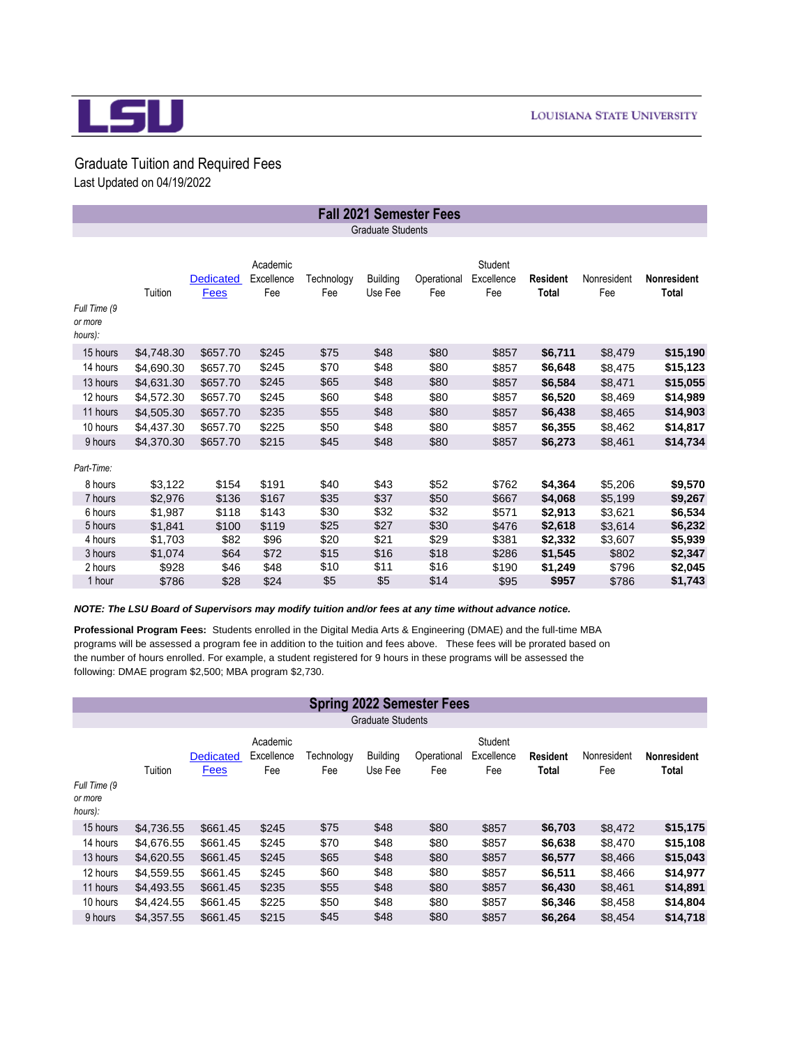

## Graduate Tuition and Required Fees Last Updated on 04/19/2022

|                                    |                    |                                 |                               |                   |                            | <b>Fall 2021 Semester Fees</b> |                              |                          |                    |                             |
|------------------------------------|--------------------|---------------------------------|-------------------------------|-------------------|----------------------------|--------------------------------|------------------------------|--------------------------|--------------------|-----------------------------|
|                                    |                    |                                 |                               |                   | <b>Graduate Students</b>   |                                |                              |                          |                    |                             |
| Full Time (9<br>or more<br>hours): | Tuition            | <b>Dedicated</b><br><b>Fees</b> | Academic<br>Excellence<br>Fee | Technology<br>Fee | <b>Building</b><br>Use Fee | Operational<br>Fee             | Student<br>Excellence<br>Fee | <b>Resident</b><br>Total | Nonresident<br>Fee | <b>Nonresident</b><br>Total |
| 15 hours                           | \$4,748.30         | \$657.70                        | \$245                         | \$75              | \$48                       | \$80                           | \$857                        | \$6,711                  | \$8,479            | \$15,190                    |
| 14 hours                           | \$4,690.30         | \$657.70                        | \$245                         | \$70              | \$48                       | \$80                           | \$857                        | \$6,648                  | \$8,475            | \$15,123                    |
| 13 hours                           | \$4,631.30         | \$657.70                        | \$245                         | \$65              | \$48                       | \$80                           | \$857                        | \$6,584                  | \$8,471            | \$15,055                    |
| 12 hours                           | \$4,572.30         | \$657.70                        | \$245                         | \$60              | \$48                       | \$80                           | \$857                        | \$6,520                  | \$8,469            | \$14,989                    |
| 11 hours                           | \$4,505.30         | \$657.70                        | \$235                         | \$55              | \$48                       | \$80                           | \$857                        | \$6,438                  | \$8,465            | \$14,903                    |
| 10 hours                           | \$4,437.30         | \$657.70                        | \$225                         | \$50              | \$48                       | \$80                           | \$857                        | \$6,355                  | \$8,462            | \$14,817                    |
| 9 hours                            | \$4,370.30         | \$657.70                        | \$215                         | \$45              | \$48                       | \$80                           | \$857                        | \$6,273                  | \$8,461            | \$14,734                    |
| Part-Time:                         |                    |                                 |                               |                   |                            |                                |                              |                          |                    |                             |
| 8 hours<br>7 hours                 | \$3,122            | \$154                           | \$191                         | \$40              | \$43                       | \$52                           | \$762                        | \$4,364                  | \$5,206            | \$9,570                     |
| 6 hours                            | \$2.976<br>\$1,987 | \$136<br>\$118                  | \$167<br>\$143                | \$35<br>\$30      | \$37<br>\$32               | \$50<br>\$32                   | \$667<br>\$571               | \$4,068<br>\$2,913       | \$5,199<br>\$3,621 | \$9,267<br>\$6,534          |
| 5 hours                            | \$1,841            | \$100                           | \$119                         | \$25              | \$27                       | \$30                           | \$476                        | \$2,618                  | \$3,614            | \$6,232                     |
| 4 hours                            | \$1,703            | \$82                            | \$96                          | \$20              | \$21                       | \$29                           | \$381                        | \$2,332                  | \$3,607            | \$5,939                     |
| 3 hours                            | \$1,074            | \$64                            | \$72                          | \$15              | \$16                       | \$18                           | \$286                        | \$1,545                  | \$802              | \$2,347                     |
| 2 hours                            | \$928              | \$46                            | \$48                          | \$10              | \$11                       | \$16                           | \$190                        | \$1,249                  | \$796              | \$2,045                     |
| 1 hour                             | \$786              | \$28                            | \$24                          | \$5               | \$5                        | \$14                           | \$95                         | \$957                    | \$786              | \$1,743                     |

*NOTE: The LSU Board of Supervisors may modify tuition and/or fees at any time without advance notice.*

the number of hours enrolled. For example, a student registered for 9 hours in these programs will be assessed the following: DMAE program \$2,500; MBA program \$2,730. **Professional Program Fees:** Students enrolled in the Digital Media Arts & Engineering (DMAE) and the full-time MBA programs will be assessed a program fee in addition to the tuition and fees above. These fees will be prorated based on

|                                    |                          |                                 |                               |                   |                            | <b>Spring 2022 Semester Fees</b> |                              |                                 |                    |                                    |  |  |
|------------------------------------|--------------------------|---------------------------------|-------------------------------|-------------------|----------------------------|----------------------------------|------------------------------|---------------------------------|--------------------|------------------------------------|--|--|
|                                    | <b>Graduate Students</b> |                                 |                               |                   |                            |                                  |                              |                                 |                    |                                    |  |  |
|                                    | Tuition                  | <b>Dedicated</b><br><b>Fees</b> | Academic<br>Excellence<br>Fee | Technoloav<br>Fee | <b>Building</b><br>Use Fee | Operational<br>Fee               | Student<br>Excellence<br>Fee | <b>Resident</b><br><b>Total</b> | Nonresident<br>Fee | <b>Nonresident</b><br><b>Total</b> |  |  |
| Full Time (9<br>or more<br>hours): |                          |                                 |                               |                   |                            |                                  |                              |                                 |                    |                                    |  |  |
| 15 hours                           | \$4,736.55               | \$661.45                        | \$245                         | \$75              | \$48                       | \$80                             | \$857                        | \$6,703                         | \$8,472            | \$15,175                           |  |  |
| 14 hours                           | \$4,676.55               | \$661.45                        | \$245                         | \$70              | \$48                       | \$80                             | \$857                        | \$6,638                         | \$8.470            | \$15,108                           |  |  |
| 13 hours                           | \$4,620.55               | \$661.45                        | \$245                         | \$65              | \$48                       | \$80                             | \$857                        | \$6,577                         | \$8,466            | \$15,043                           |  |  |
| 12 hours                           | \$4,559.55               | \$661.45                        | \$245                         | \$60              | \$48                       | \$80                             | \$857                        | \$6,511                         | \$8,466            | \$14,977                           |  |  |
| 11 hours                           | \$4,493.55               | \$661.45                        | \$235                         | \$55              | \$48                       | \$80                             | \$857                        | \$6,430                         | \$8,461            | \$14,891                           |  |  |
| 10 hours                           | \$4,424.55               | \$661.45                        | \$225                         | \$50              | \$48                       | \$80                             | \$857                        | \$6,346                         | \$8,458            | \$14,804                           |  |  |
| 9 hours                            | \$4,357.55               | \$661.45                        | \$215                         | \$45              | \$48                       | \$80                             | \$857                        | \$6,264                         | \$8,454            | \$14,718                           |  |  |
|                                    |                          |                                 |                               |                   |                            |                                  |                              |                                 |                    |                                    |  |  |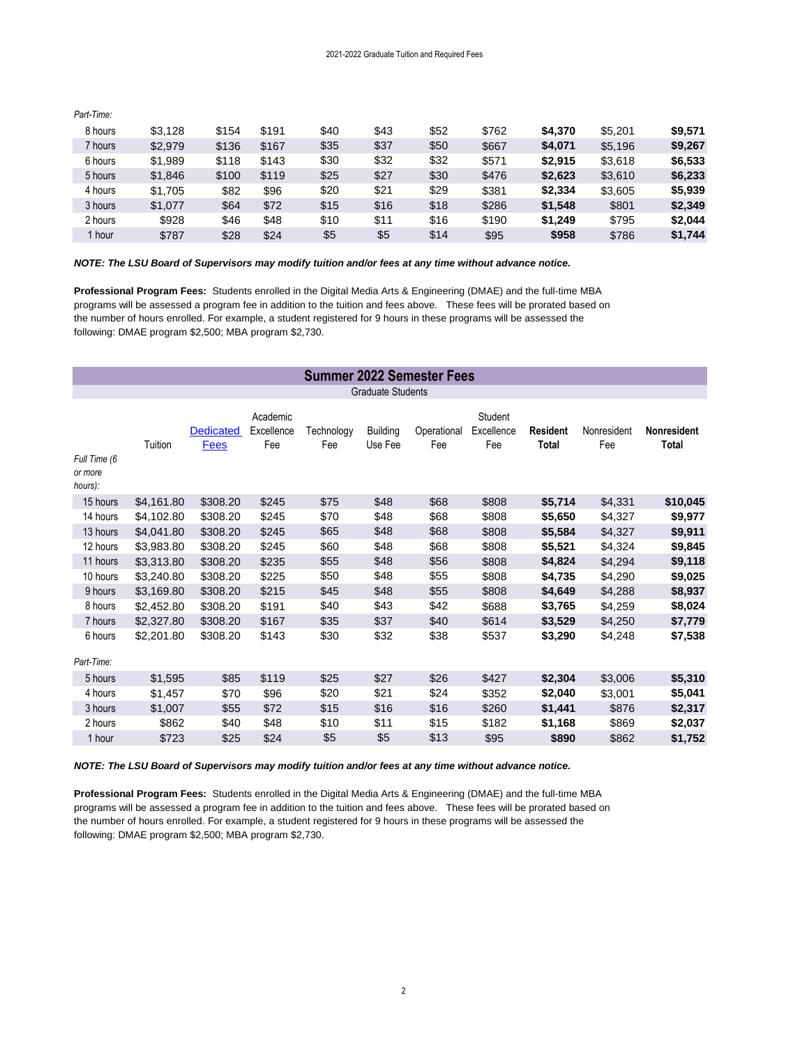| <i>au - uno.</i> |         |       |       |      |      |      |       |         |         |         |
|------------------|---------|-------|-------|------|------|------|-------|---------|---------|---------|
| 8 hours          | \$3.128 | \$154 | \$191 | \$40 | \$43 | \$52 | \$762 | \$4.370 | \$5.201 | \$9,571 |
| 7 hours          | \$2,979 | \$136 | \$167 | \$35 | \$37 | \$50 | \$667 | \$4,071 | \$5,196 | \$9,267 |
| 6 hours          | \$1,989 | \$118 | \$143 | \$30 | \$32 | \$32 | \$571 | \$2.915 | \$3,618 | \$6,533 |
| 5 hours          | \$1.846 | \$100 | \$119 | \$25 | \$27 | \$30 | \$476 | \$2,623 | \$3,610 | \$6,233 |
| 4 hours          | \$1.705 | \$82  | \$96  | \$20 | \$21 | \$29 | \$381 | \$2.334 | \$3.605 | \$5.939 |
| 3 hours          | \$1,077 | \$64  | \$72  | \$15 | \$16 | \$18 | \$286 | \$1.548 | \$801   | \$2,349 |
| 2 hours          | \$928   | \$46  | \$48  | \$10 | \$11 | \$16 | \$190 | \$1.249 | \$795   | \$2.044 |
| 1 hour           | \$787   | \$28  | \$24  | \$5  | \$5  | \$14 | \$95  | \$958   | \$786   | \$1,744 |

*NOTE: The LSU Board of Supervisors may modify tuition and/or fees at any time without advance notice.*

the number of hours enrolled. For example, a student registered for 9 hours in these programs will be assessed the following: DMAE program \$2,500; MBA program \$2,730. **Professional Program Fees:** Students enrolled in the Digital Media Arts & Engineering (DMAE) and the full-time MBA programs will be assessed a program fee in addition to the tuition and fees above. These fees will be prorated based on

|                                    | <b>Summer 2022 Semester Fees</b> |                          |                               |                   |                            |                    |                              |                                 |                    |                             |  |
|------------------------------------|----------------------------------|--------------------------|-------------------------------|-------------------|----------------------------|--------------------|------------------------------|---------------------------------|--------------------|-----------------------------|--|
|                                    |                                  |                          |                               |                   | <b>Graduate Students</b>   |                    |                              |                                 |                    |                             |  |
| Full Time (6<br>or more<br>hours): | Tuition                          | <b>Dedicated</b><br>Fees | Academic<br>Excellence<br>Fee | Technology<br>Fee | <b>Building</b><br>Use Fee | Operational<br>Fee | Student<br>Excellence<br>Fee | <b>Resident</b><br><b>Total</b> | Nonresident<br>Fee | <b>Nonresident</b><br>Total |  |
| 15 hours                           | \$4,161.80                       | \$308.20                 | \$245                         | \$75              | \$48                       | \$68               | \$808                        | \$5,714                         | \$4,331            | \$10,045                    |  |
| 14 hours                           | \$4,102.80                       | \$308.20                 | \$245                         | \$70              | \$48                       | \$68               | \$808                        | \$5,650                         | \$4,327            | \$9,977                     |  |
| 13 hours                           | \$4,041.80                       | \$308.20                 | \$245                         | \$65              | \$48                       | \$68               | \$808                        | \$5,584                         | \$4,327            | \$9,911                     |  |
| 12 hours                           | \$3.983.80                       | \$308.20                 | \$245                         | \$60              | \$48                       | \$68               | \$808                        | \$5,521                         | \$4.324            | \$9,845                     |  |
| 11 hours                           | \$3,313.80                       | \$308.20                 | \$235                         | \$55              | \$48                       | \$56               | \$808                        | \$4,824                         | \$4,294            | \$9,118                     |  |
| 10 hours                           | \$3,240.80                       | \$308.20                 | \$225                         | \$50              | \$48                       | \$55               | \$808                        | \$4,735                         | \$4,290            | \$9,025                     |  |
| 9 hours                            | \$3,169.80                       | \$308.20                 | \$215                         | \$45              | \$48                       | \$55               | \$808                        | \$4,649                         | \$4,288            | \$8,937                     |  |
| 8 hours                            | \$2,452.80                       | \$308.20                 | \$191                         | \$40              | \$43                       | \$42               | \$688                        | \$3,765                         | \$4,259            | \$8,024                     |  |
| 7 hours                            | \$2,327.80                       | \$308.20                 | \$167                         | \$35              | \$37                       | \$40               | \$614                        | \$3,529                         | \$4,250            | \$7,779                     |  |
| 6 hours                            | \$2,201.80                       | \$308.20                 | \$143                         | \$30              | \$32                       | \$38               | \$537                        | \$3,290                         | \$4,248            | \$7,538                     |  |
| Part-Time:                         |                                  |                          |                               |                   |                            |                    |                              |                                 |                    |                             |  |
| 5 hours                            | \$1,595                          | \$85                     | \$119                         | \$25              | \$27                       | \$26               | \$427                        | \$2,304                         | \$3,006            | \$5,310                     |  |
| 4 hours                            | \$1,457                          | \$70                     | \$96                          | \$20              | \$21                       | \$24               | \$352                        | \$2,040                         | \$3,001            | \$5,041                     |  |
| 3 hours                            | \$1,007                          | \$55                     | \$72                          | \$15              | \$16                       | \$16               | \$260                        | \$1,441                         | \$876              | \$2,317                     |  |
| 2 hours                            | \$862                            | \$40                     | \$48                          | \$10              | \$11                       | \$15               | \$182                        | \$1,168                         | \$869              | \$2,037                     |  |
| 1 hour                             | \$723                            | \$25                     | \$24                          | \$5               | \$5                        | \$13               | \$95                         | \$890                           | \$862              | \$1,752                     |  |
|                                    |                                  |                          |                               |                   |                            |                    |                              |                                 |                    |                             |  |

*NOTE: The LSU Board of Supervisors may modify tuition and/or fees at any time without advance notice.*

the number of hours enrolled. For example, a student registered for 9 hours in these programs will be assessed the following: DMAE program \$2,500; MBA program \$2,730. **Professional Program Fees:** Students enrolled in the Digital Media Arts & Engineering (DMAE) and the full-time MBA programs will be assessed a program fee in addition to the tuition and fees above. These fees will be prorated based on